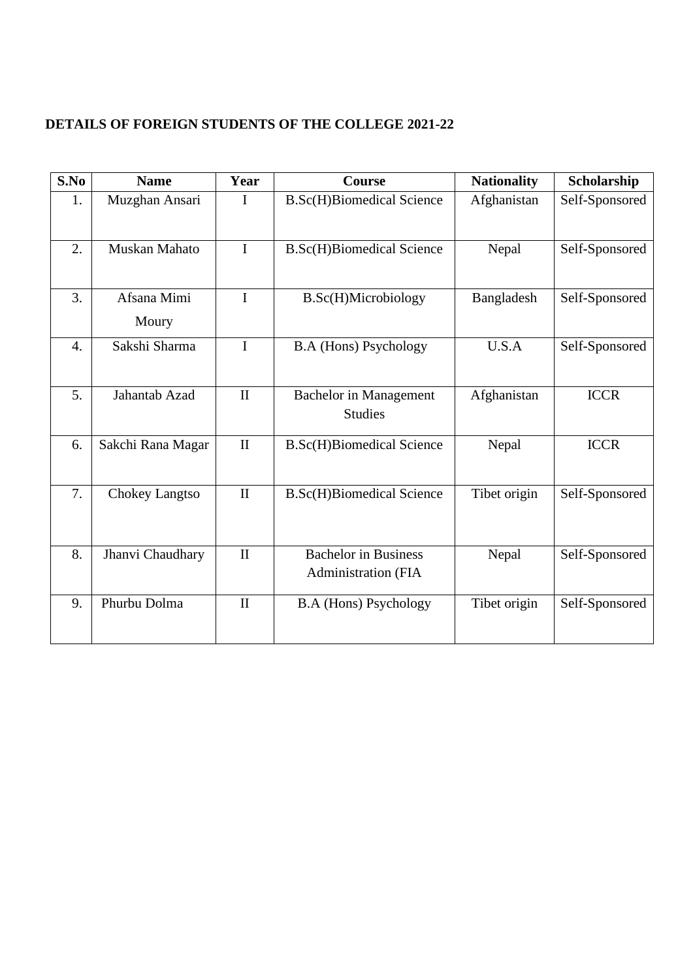## **DETAILS OF FOREIGN STUDENTS OF THE COLLEGE 2021-22**

| S.No             | <b>Name</b>          | Year         | <b>Course</b>                                             | <b>Nationality</b> | Scholarship    |
|------------------|----------------------|--------------|-----------------------------------------------------------|--------------------|----------------|
| 1.               | Muzghan Ansari       | I            | <b>B.Sc(H)Biomedical Science</b>                          | Afghanistan        | Self-Sponsored |
| 2.               | Muskan Mahato        | I            | <b>B.Sc(H)Biomedical Science</b>                          | Nepal              | Self-Sponsored |
| 3.               | Afsana Mimi<br>Moury | I            | <b>B.Sc(H)Microbiology</b>                                | Bangladesh         | Self-Sponsored |
| $\overline{4}$ . | Sakshi Sharma        | I            | <b>B.A</b> (Hons) Psychology                              | U.S.A              | Self-Sponsored |
| 5.               | Jahantab Azad        | $\mathbf{I}$ | <b>Bachelor</b> in Management<br><b>Studies</b>           | Afghanistan        | <b>ICCR</b>    |
| 6.               | Sakchi Rana Magar    | $\mathbf{I}$ | <b>B.Sc(H)Biomedical Science</b>                          | Nepal              | <b>ICCR</b>    |
| 7.               | Chokey Langtso       | $\mathbf{I}$ | <b>B.Sc(H)Biomedical Science</b>                          | Tibet origin       | Self-Sponsored |
| 8.               | Jhanvi Chaudhary     | $\mathbf{I}$ | <b>Bachelor</b> in Business<br><b>Administration (FIA</b> | Nepal              | Self-Sponsored |
| 9.               | Phurbu Dolma         | $\mathbf{I}$ | <b>B.A</b> (Hons) Psychology                              | Tibet origin       | Self-Sponsored |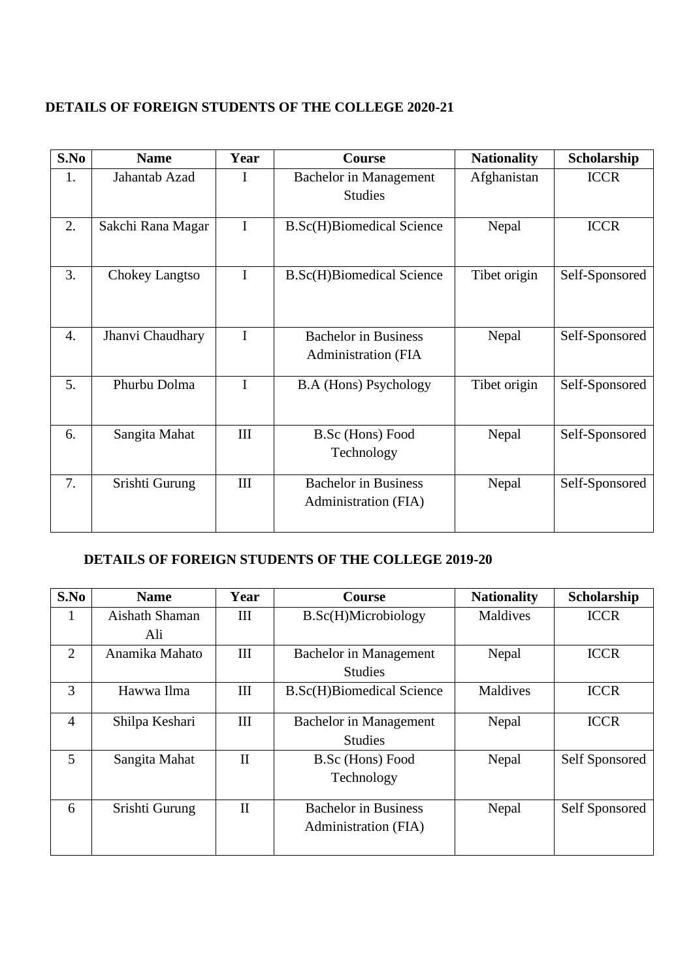#### **DETAILS OF FOREIGN STUDENTS OF THE COLLEGE 2020-21**

| S.No | <b>Name</b>       | Year        | Course                                              | <b>Nationality</b> | Scholarship    |
|------|-------------------|-------------|-----------------------------------------------------|--------------------|----------------|
| 1.   | Jahantab Azad     | I           | Bachelor in Management                              | Afghanistan        | <b>ICCR</b>    |
|      |                   |             | <b>Studies</b>                                      |                    |                |
| 2.   | Sakchi Rana Magar | $\mathbf I$ | <b>B.Sc(H)Biomedical Science</b>                    | Nepal              | <b>ICCR</b>    |
| 3.   | Chokey Langtso    | $\mathbf I$ | <b>B.Sc(H)Biomedical Science</b>                    | Tibet origin       | Self-Sponsored |
| 4.   | Jhanvi Chaudhary  | I           | <b>Bachelor</b> in Business<br>Administration (FIA  | Nepal              | Self-Sponsored |
| 5.   | Phurbu Dolma      | $\mathbf I$ | <b>B.A</b> (Hons) Psychology                        | Tibet origin       | Self-Sponsored |
| 6.   | Sangita Mahat     | III         | B.Sc (Hons) Food<br>Technology                      | Nepal              | Self-Sponsored |
| 7.   | Srishti Gurung    | III         | <b>Bachelor</b> in Business<br>Administration (FIA) | Nepal              | Self-Sponsored |

# **DETAILS OF FOREIGN STUDENTS OF THE COLLEGE 2019-20**

| S.No           | <b>Name</b>    | Year         | <b>Course</b>                    | <b>Nationality</b> | Scholarship    |
|----------------|----------------|--------------|----------------------------------|--------------------|----------------|
| 1              | Aishath Shaman | III          | B.Sc(H)Microbiology              | Maldives           | <b>ICCR</b>    |
|                | Ali            |              |                                  |                    |                |
| $\overline{2}$ | Anamika Mahato | III          | <b>Bachelor</b> in Management    | Nepal              | <b>ICCR</b>    |
|                |                |              | <b>Studies</b>                   |                    |                |
| 3              | Hawwa Ilma     | Ш            | <b>B.Sc(H)Biomedical Science</b> | Maldives           | <b>ICCR</b>    |
|                |                |              |                                  |                    |                |
| $\overline{4}$ | Shilpa Keshari | III          | Bachelor in Management           | Nepal              | <b>ICCR</b>    |
|                |                |              | <b>Studies</b>                   |                    |                |
| 5              | Sangita Mahat  | $\mathbf{I}$ | B.Sc (Hons) Food                 | Nepal              | Self Sponsored |
|                |                |              | Technology                       |                    |                |
|                |                |              |                                  |                    |                |
| 6              | Srishti Gurung | $\mathbf{I}$ | <b>Bachelor</b> in Business      | Nepal              | Self Sponsored |
|                |                |              | Administration (FIA)             |                    |                |
|                |                |              |                                  |                    |                |